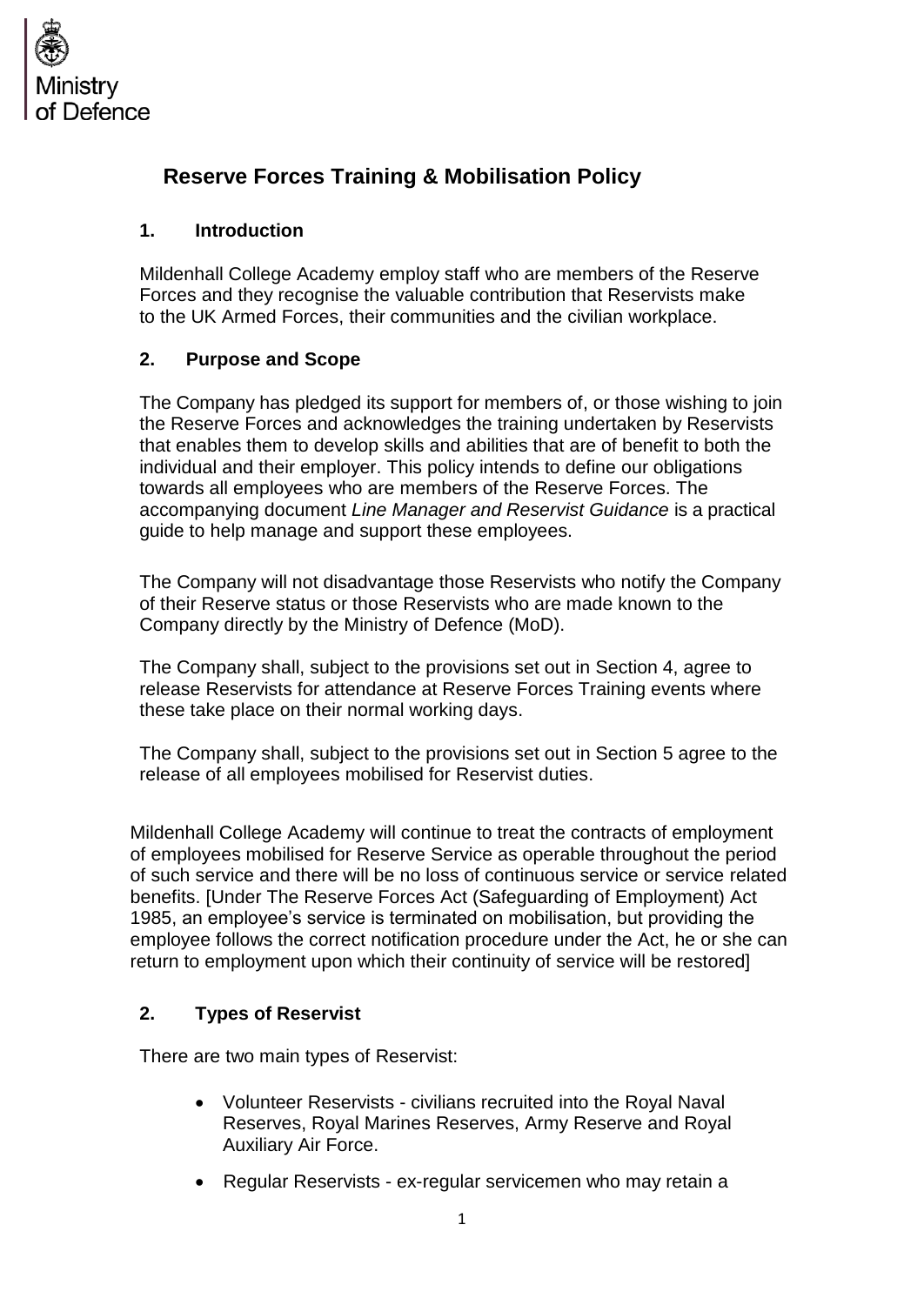

# **Reserve Forces Training & Mobilisation Policy**

### **1. Introduction**

Mildenhall College Academy employ staff who are members of the Reserve Forces and they recognise the valuable contribution that Reservists make to the UK Armed Forces, their communities and the civilian workplace.

### **2. Purpose and Scope**

The Company has pledged its support for members of, or those wishing to join the Reserve Forces and acknowledges the training undertaken by Reservists that enables them to develop skills and abilities that are of benefit to both the individual and their employer. This policy intends to define our obligations towards all employees who are members of the Reserve Forces. The accompanying document *Line Manager and Reservist Guidance* is a practical guide to help manage and support these employees.

The Company will not disadvantage those Reservists who notify the Company of their Reserve status or those Reservists who are made known to the Company directly by the Ministry of Defence (MoD).

The Company shall, subject to the provisions set out in Section 4, agree to release Reservists for attendance at Reserve Forces Training events where these take place on their normal working days.

The Company shall, subject to the provisions set out in Section 5 agree to the release of all employees mobilised for Reservist duties.

Mildenhall College Academy will continue to treat the contracts of employment of employees mobilised for Reserve Service as operable throughout the period of such service and there will be no loss of continuous service or service related benefits. [Under The Reserve Forces Act (Safeguarding of Employment) Act 1985, an employee's service is terminated on mobilisation, but providing the employee follows the correct notification procedure under the Act, he or she can return to employment upon which their continuity of service will be restored]

# **2. Types of Reservist**

There are two main types of Reservist:

- Volunteer Reservists civilians recruited into the Royal Naval Reserves, Royal Marines Reserves, Army Reserve and Royal Auxiliary Air Force.
- Regular Reservists ex-regular servicemen who may retain a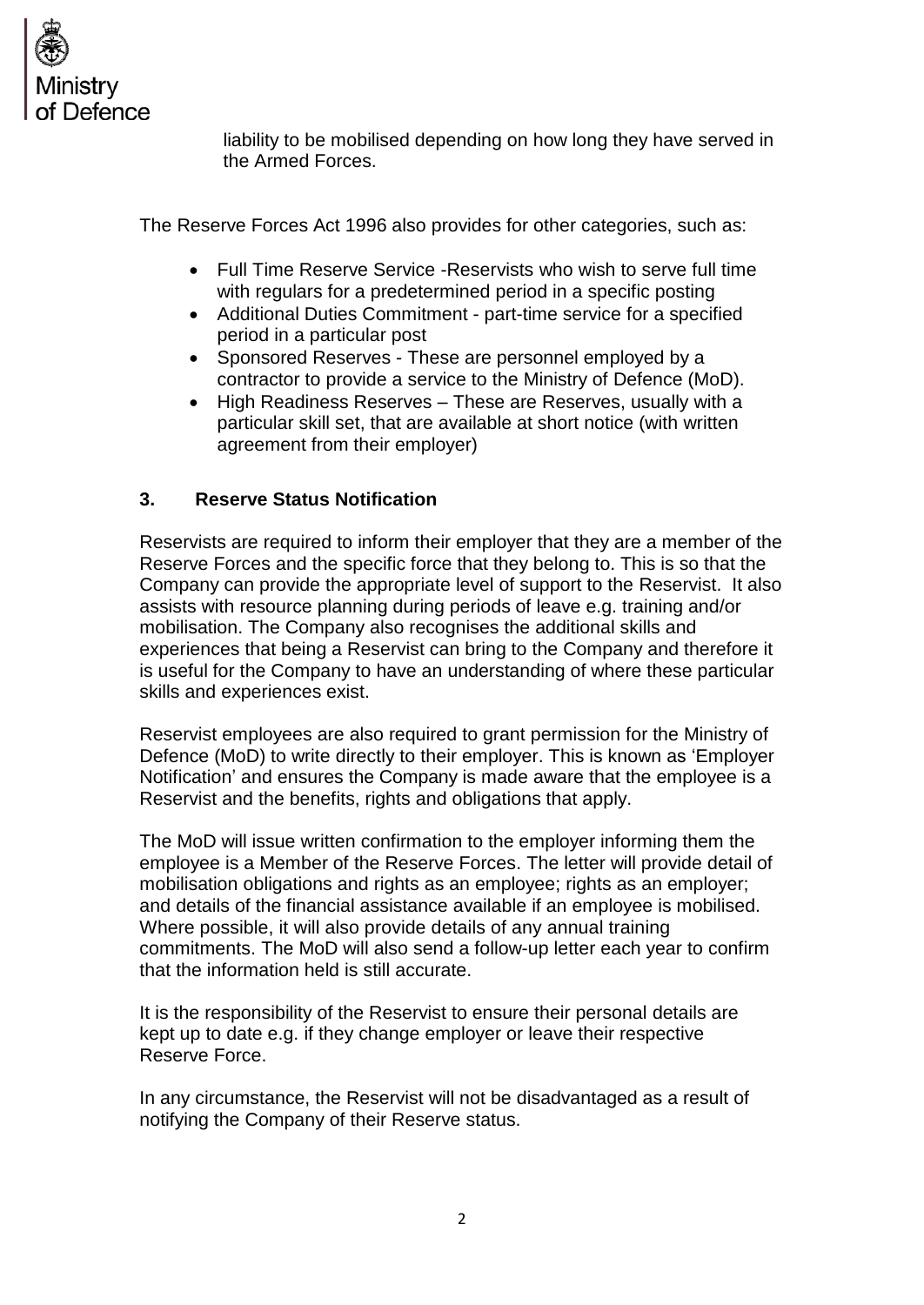

liability to be mobilised depending on how long they have served in the Armed Forces.

The Reserve Forces Act 1996 also provides for other categories, such as:

- Full Time Reserve Service -Reservists who wish to serve full time with regulars for a predetermined period in a specific posting
- Additional Duties Commitment part-time service for a specified period in a particular post
- Sponsored Reserves These are personnel employed by a contractor to provide a service to the Ministry of Defence (MoD).
- High Readiness Reserves These are Reserves, usually with a particular skill set, that are available at short notice (with written agreement from their employer)

# **3. Reserve Status Notification**

Reservists are required to inform their employer that they are a member of the Reserve Forces and the specific force that they belong to. This is so that the Company can provide the appropriate level of support to the Reservist. It also assists with resource planning during periods of leave e.g. training and/or mobilisation. The Company also recognises the additional skills and experiences that being a Reservist can bring to the Company and therefore it is useful for the Company to have an understanding of where these particular skills and experiences exist.

Reservist employees are also required to grant permission for the Ministry of Defence (MoD) to write directly to their employer. This is known as 'Employer Notification' and ensures the Company is made aware that the employee is a Reservist and the benefits, rights and obligations that apply.

The MoD will issue written confirmation to the employer informing them the employee is a Member of the Reserve Forces. The letter will provide detail of mobilisation obligations and rights as an employee; rights as an employer; and details of the financial assistance available if an employee is mobilised. Where possible, it will also provide details of any annual training commitments. The MoD will also send a follow-up letter each year to confirm that the information held is still accurate.

It is the responsibility of the Reservist to ensure their personal details are kept up to date e.g. if they change employer or leave their respective Reserve Force.

In any circumstance, the Reservist will not be disadvantaged as a result of notifying the Company of their Reserve status.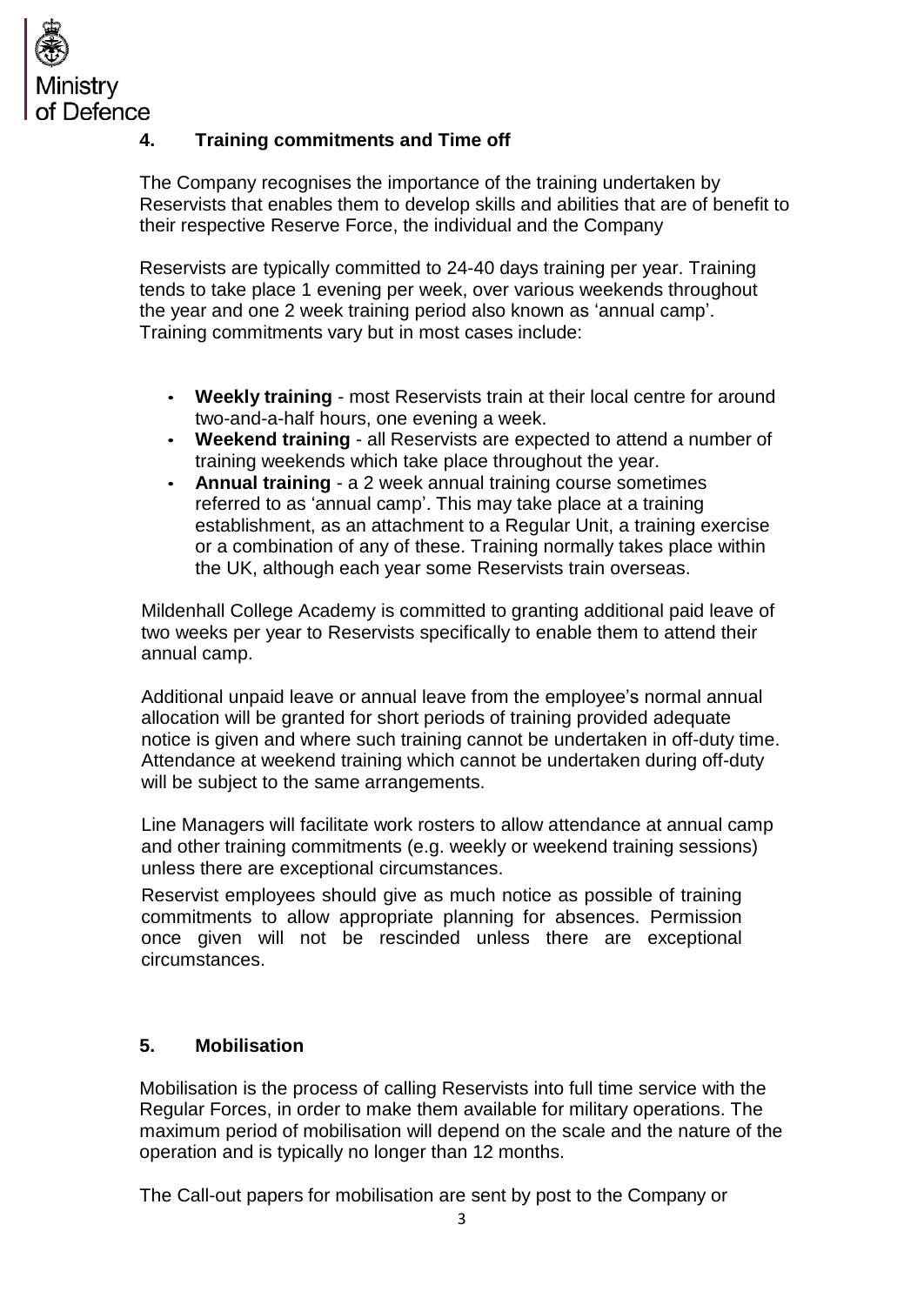

# **4. Training commitments and Time off**

The Company recognises the importance of the training undertaken by Reservists that enables them to develop skills and abilities that are of benefit to their respective Reserve Force, the individual and the Company

Reservists are typically committed to 24-40 days training per year. Training tends to take place 1 evening per week, over various weekends throughout the year and one 2 week training period also known as 'annual camp'. Training commitments vary but in most cases include:

- **Weekly training**  most Reservists train at their local centre for around two-and-a-half hours, one evening a week.
- **Weekend training**  all Reservists are expected to attend a number of training weekends which take place throughout the year.
- **Annual training**  a 2 week annual training course sometimes referred to as 'annual camp'. This may take place at a training establishment, as an attachment to a Regular Unit, a training exercise or a combination of any of these. Training normally takes place within the UK, although each year some Reservists train overseas.

Mildenhall College Academy is committed to granting additional paid leave of two weeks per year to Reservists specifically to enable them to attend their annual camp.

Additional unpaid leave or annual leave from the employee's normal annual allocation will be granted for short periods of training provided adequate notice is given and where such training cannot be undertaken in off-duty time. Attendance at weekend training which cannot be undertaken during off-duty will be subject to the same arrangements.

Line Managers will facilitate work rosters to allow attendance at annual camp and other training commitments (e.g. weekly or weekend training sessions) unless there are exceptional circumstances.

Reservist employees should give as much notice as possible of training commitments to allow appropriate planning for absences. Permission once given will not be rescinded unless there are exceptional circumstances.

# **5. Mobilisation**

Mobilisation is the process of calling Reservists into full time service with the Regular Forces, in order to make them available for military operations. The maximum period of mobilisation will depend on the scale and the nature of the operation and is typically no longer than 12 months.

The Call-out papers for mobilisation are sent by post to the Company or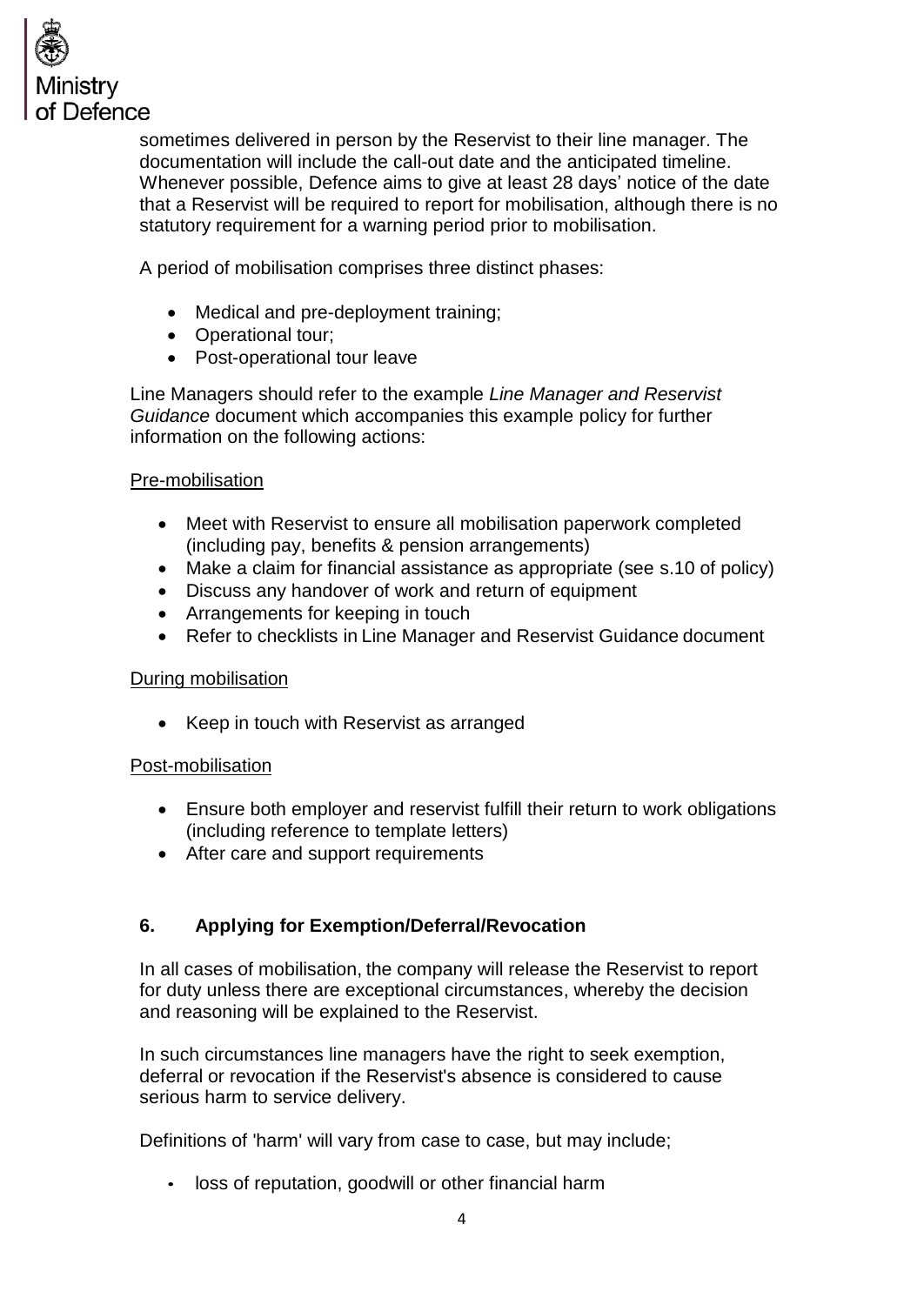

sometimes delivered in person by the Reservist to their line manager. The documentation will include the call-out date and the anticipated timeline. Whenever possible, Defence aims to give at least 28 days' notice of the date that a Reservist will be required to report for mobilisation, although there is no statutory requirement for a warning period prior to mobilisation.

A period of mobilisation comprises three distinct phases:

- Medical and pre-deployment training;
- Operational tour;
- Post-operational tour leave

Line Managers should refer to the example *Line Manager and Reservist Guidance* document which accompanies this example policy for further information on the following actions:

#### Pre-mobilisation

- Meet with Reservist to ensure all mobilisation paperwork completed (including pay, benefits & pension arrangements)
- Make a claim for financial assistance as appropriate (see s.10 of policy)
- Discuss any handover of work and return of equipment
- Arrangements for keeping in touch
- Refer to checklists in Line Manager and Reservist Guidance document

#### During mobilisation

• Keep in touch with Reservist as arranged

#### Post-mobilisation

- Ensure both employer and reservist fulfill their return to work obligations (including reference to template letters)
- After care and support requirements

# **6. Applying for Exemption/Deferral/Revocation**

In all cases of mobilisation, the company will release the Reservist to report for duty unless there are exceptional circumstances, whereby the decision and reasoning will be explained to the Reservist.

In such circumstances line managers have the right to seek exemption, deferral or revocation if the Reservist's absence is considered to cause serious harm to service delivery.

Definitions of 'harm' will vary from case to case, but may include;

• loss of reputation, goodwill or other financial harm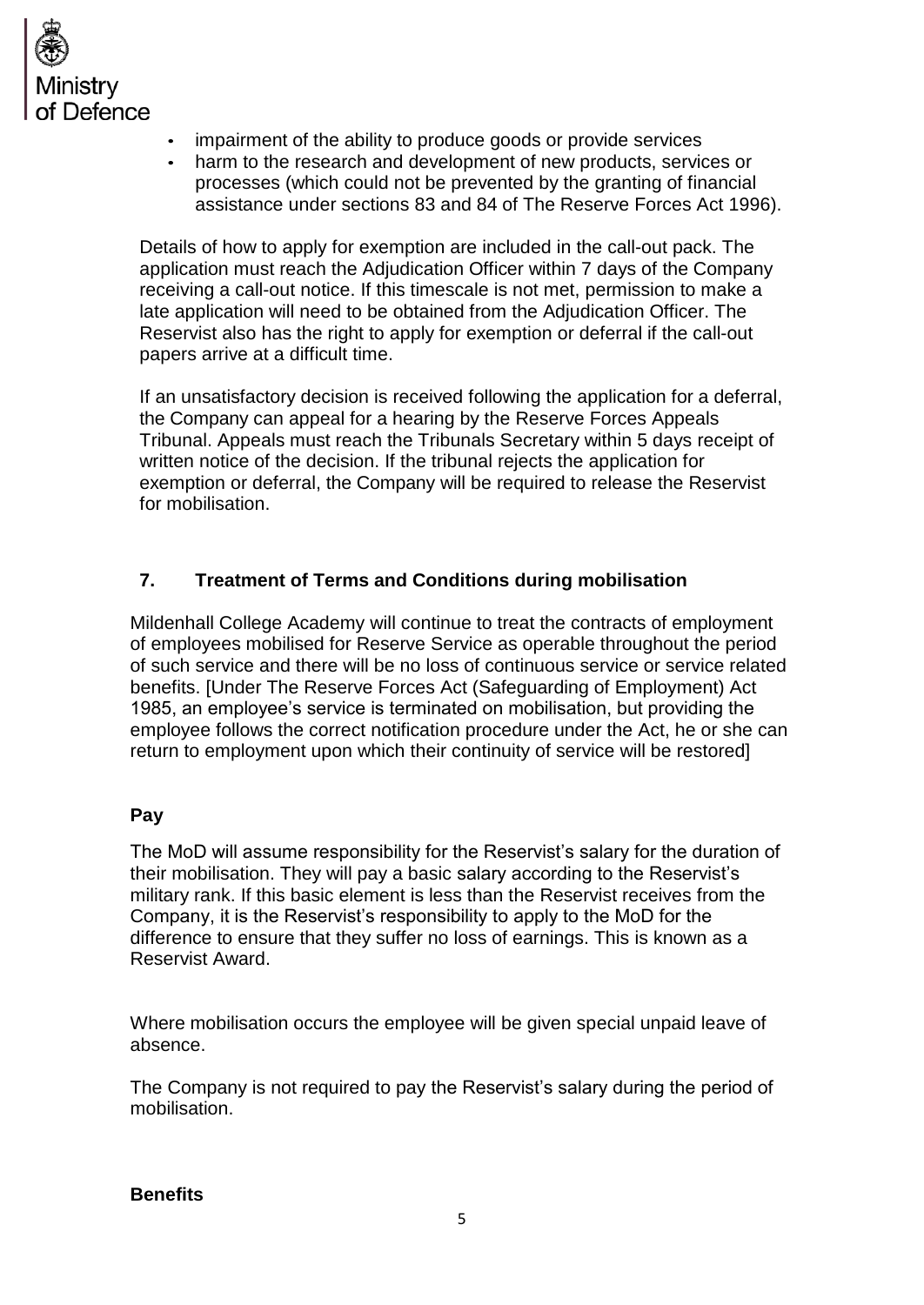

- impairment of the ability to produce goods or provide services
- harm to the research and development of new products, services or processes (which could not be prevented by the granting of financial assistance under sections 83 and 84 of The Reserve Forces Act 1996).

Details of how to apply for exemption are included in the call-out pack. The application must reach the Adjudication Officer within 7 days of the Company receiving a call-out notice. If this timescale is not met, permission to make a late application will need to be obtained from the Adjudication Officer. The Reservist also has the right to apply for exemption or deferral if the call-out papers arrive at a difficult time.

If an unsatisfactory decision is received following the application for a deferral, the Company can appeal for a hearing by the Reserve Forces Appeals Tribunal. Appeals must reach the Tribunals Secretary within 5 days receipt of written notice of the decision. If the tribunal rejects the application for exemption or deferral, the Company will be required to release the Reservist for mobilisation.

# **7. Treatment of Terms and Conditions during mobilisation**

Mildenhall College Academy will continue to treat the contracts of employment of employees mobilised for Reserve Service as operable throughout the period of such service and there will be no loss of continuous service or service related benefits. [Under The Reserve Forces Act (Safeguarding of Employment) Act 1985, an employee's service is terminated on mobilisation, but providing the employee follows the correct notification procedure under the Act, he or she can return to employment upon which their continuity of service will be restored]

# **Pay**

The MoD will assume responsibility for the Reservist's salary for the duration of their mobilisation. They will pay a basic salary according to the Reservist's military rank. If this basic element is less than the Reservist receives from the Company, it is the Reservist's responsibility to apply to the MoD for the difference to ensure that they suffer no loss of earnings. This is known as a Reservist Award.

Where mobilisation occurs the employee will be given special unpaid leave of absence.

The Company is not required to pay the Reservist's salary during the period of mobilisation.

#### **Benefits**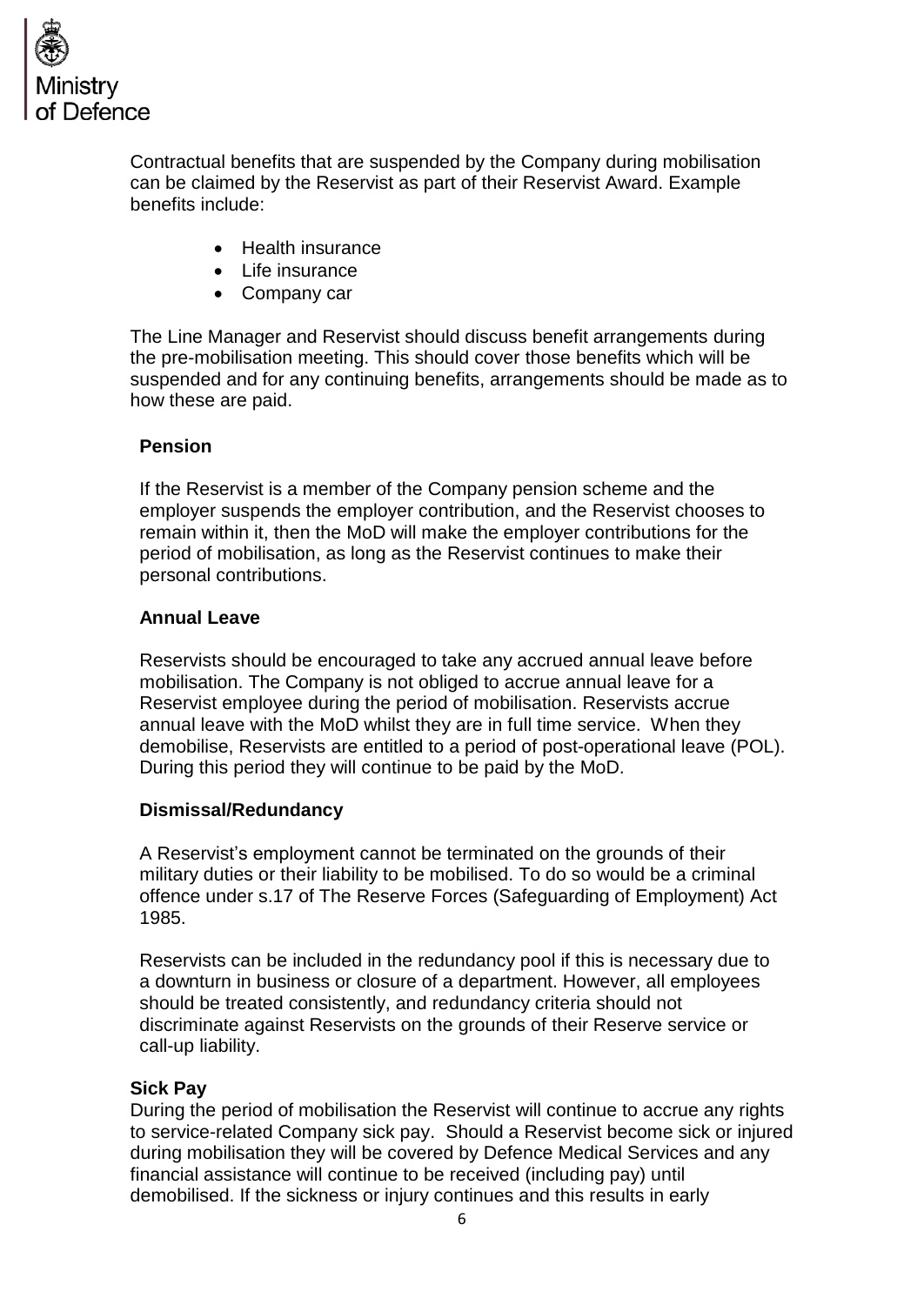

Contractual benefits that are suspended by the Company during mobilisation can be claimed by the Reservist as part of their Reservist Award. Example benefits include:

- Health insurance
- Life insurance
- Company car

The Line Manager and Reservist should discuss benefit arrangements during the pre-mobilisation meeting. This should cover those benefits which will be suspended and for any continuing benefits, arrangements should be made as to how these are paid.

### **Pension**

If the Reservist is a member of the Company pension scheme and the employer suspends the employer contribution, and the Reservist chooses to remain within it, then the MoD will make the employer contributions for the period of mobilisation, as long as the Reservist continues to make their personal contributions.

#### **Annual Leave**

Reservists should be encouraged to take any accrued annual leave before mobilisation. The Company is not obliged to accrue annual leave for a Reservist employee during the period of mobilisation. Reservists accrue annual leave with the MoD whilst they are in full time service. When they demobilise, Reservists are entitled to a period of post-operational leave (POL). During this period they will continue to be paid by the MoD.

#### **Dismissal/Redundancy**

A Reservist's employment cannot be terminated on the grounds of their military duties or their liability to be mobilised. To do so would be a criminal offence under s.17 of The Reserve Forces (Safeguarding of Employment) Act 1985.

Reservists can be included in the redundancy pool if this is necessary due to a downturn in business or closure of a department. However, all employees should be treated consistently, and redundancy criteria should not discriminate against Reservists on the grounds of their Reserve service or call-up liability.

#### **Sick Pay**

During the period of mobilisation the Reservist will continue to accrue any rights to service-related Company sick pay. Should a Reservist become sick or injured during mobilisation they will be covered by Defence Medical Services and any financial assistance will continue to be received (including pay) until demobilised. If the sickness or injury continues and this results in early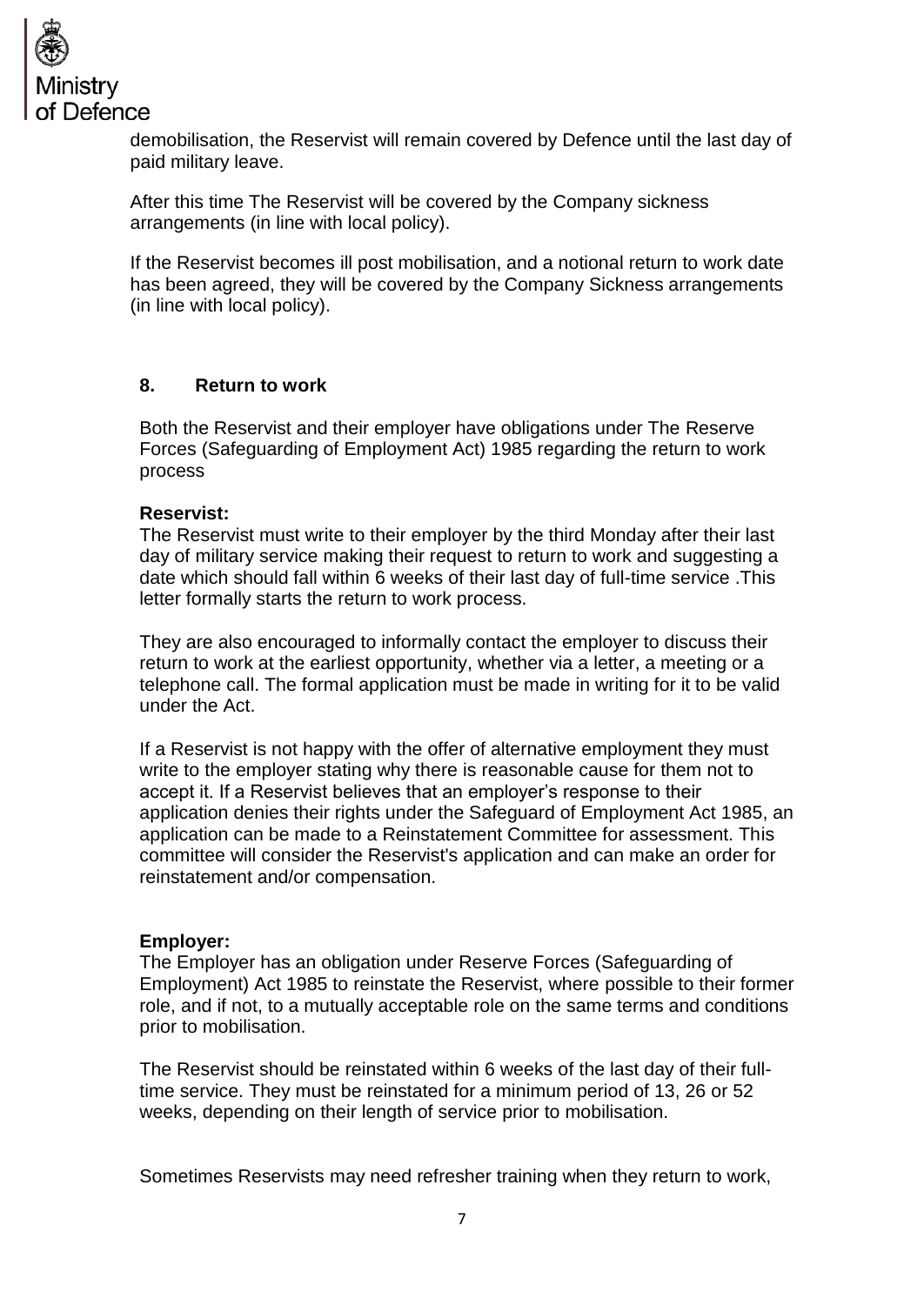

demobilisation, the Reservist will remain covered by Defence until the last day of paid military leave.

After this time The Reservist will be covered by the Company sickness arrangements (in line with local policy).

If the Reservist becomes ill post mobilisation, and a notional return to work date has been agreed, they will be covered by the Company Sickness arrangements (in line with local policy).

### **8. Return to work**

Both the Reservist and their employer have obligations under The Reserve Forces (Safeguarding of Employment Act) 1985 regarding the return to work process

### **Reservist:**

The Reservist must write to their employer by the third Monday after their last day of military service making their request to return to work and suggesting a date which should fall within 6 weeks of their last day of full-time service .This letter formally starts the return to work process.

They are also encouraged to informally contact the employer to discuss their return to work at the earliest opportunity, whether via a letter, a meeting or a telephone call. The formal application must be made in writing for it to be valid under the Act.

If a Reservist is not happy with the offer of alternative employment they must write to the employer stating why there is reasonable cause for them not to accept it. If a Reservist believes that an employer's response to their application denies their rights under the Safeguard of Employment Act 1985, an application can be made to a Reinstatement Committee for assessment. This committee will consider the Reservist's application and can make an order for reinstatement and/or compensation.

#### **Employer:**

The Employer has an obligation under Reserve Forces (Safeguarding of Employment) Act 1985 to reinstate the Reservist, where possible to their former role, and if not, to a mutually acceptable role on the same terms and conditions prior to mobilisation.

The Reservist should be reinstated within 6 weeks of the last day of their fulltime service. They must be reinstated for a minimum period of 13, 26 or 52 weeks, depending on their length of service prior to mobilisation.

Sometimes Reservists may need refresher training when they return to work,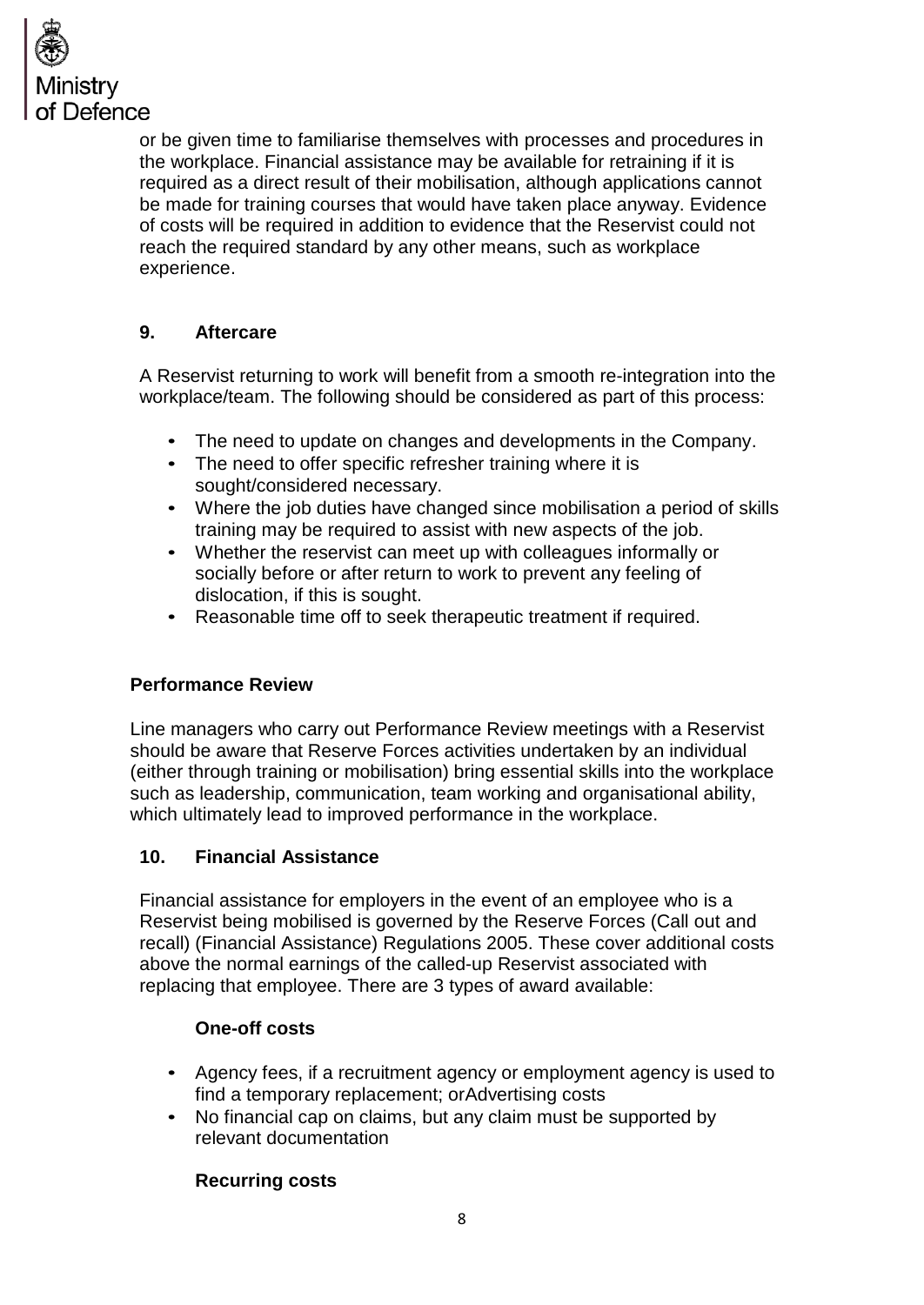

or be given time to familiarise themselves with processes and procedures in the workplace. Financial assistance may be available for retraining if it is required as a direct result of their mobilisation, although applications cannot be made for training courses that would have taken place anyway. Evidence of costs will be required in addition to evidence that the Reservist could not reach the required standard by any other means, such as workplace experience.

# **9. Aftercare**

A Reservist returning to work will benefit from a smooth re-integration into the workplace/team. The following should be considered as part of this process:

- The need to update on changes and developments in the Company.
- The need to offer specific refresher training where it is sought/considered necessary.
- Where the job duties have changed since mobilisation a period of skills training may be required to assist with new aspects of the job.
- Whether the reservist can meet up with colleagues informally or socially before or after return to work to prevent any feeling of dislocation, if this is sought.
- Reasonable time off to seek therapeutic treatment if required.

# **Performance Review**

Line managers who carry out Performance Review meetings with a Reservist should be aware that Reserve Forces activities undertaken by an individual (either through training or mobilisation) bring essential skills into the workplace such as leadership, communication, team working and organisational ability, which ultimately lead to improved performance in the workplace.

#### **10. Financial Assistance**

Financial assistance for employers in the event of an employee who is a Reservist being mobilised is governed by the Reserve Forces (Call out and recall) (Financial Assistance) Regulations 2005. These cover additional costs above the normal earnings of the called-up Reservist associated with replacing that employee. There are 3 types of award available:

#### **One-off costs**

- Agency fees, if a recruitment agency or employment agency is used to find a temporary replacement; orAdvertising costs
- No financial cap on claims, but any claim must be supported by relevant documentation

# **Recurring costs**